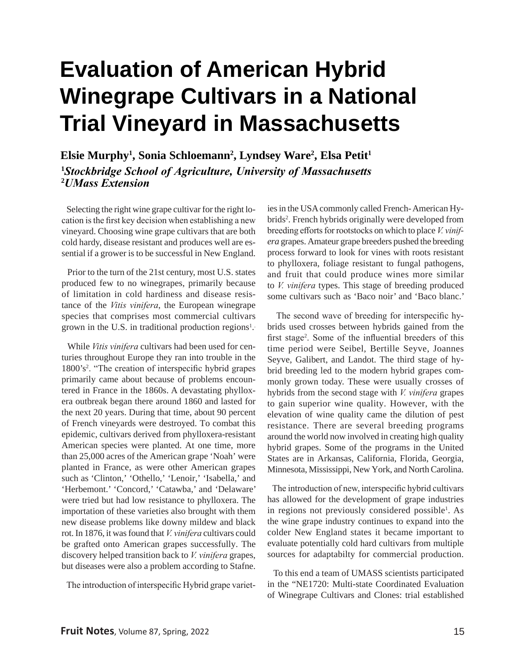# **Evaluation of American Hybrid Winegrape Cultivars in a National Trial Vineyard in Massachusetts**

**Elsie Murphy<sup>1</sup> , Sonia Schloemann<sup>2</sup> , Lyndsey Ware<sup>2</sup> , Elsa Petit<sup>1</sup> <sup>1</sup>***Stockbridge School of Agriculture, University of Massachusetts* **<sup>2</sup>***UMass Extension* 

 Selecting the right wine grape cultivar for the right location is the first key decision when establishing a new vineyard. Choosing wine grape cultivars that are both cold hardy, disease resistant and produces well are essential if a grower is to be successful in New England.

 Prior to the turn of the 21st century, most U.S. states produced few to no winegrapes, primarily because of limitation in cold hardiness and disease resistance of the *Vitis vinifera*, the European winegrape species that comprises most commercial cultivars grown in the U.S. in traditional production regions<sup>1</sup>.

 While *Vitis vinifera* cultivars had been used for centuries throughout Europe they ran into trouble in the 1800's2 . "The creation of interspecific hybrid grapes primarily came about because of problems encountered in France in the 1860s. A devastating phylloxera outbreak began there around 1860 and lasted for the next 20 years. During that time, about 90 percent of French vineyards were destroyed. To combat this epidemic, cultivars derived from phylloxera-resistant American species were planted. At one time, more than 25,000 acres of the American grape 'Noah' were planted in France, as were other American grapes such as 'Clinton,' 'Othello,' 'Lenoir,' 'Isabella,' and 'Herbemont.' 'Concord,' 'Catawba,' and 'Delaware' were tried but had low resistance to phylloxera. The importation of these varieties also brought with them new disease problems like downy mildew and black rot. In 1876, it was found that *V. vinifera* cultivars could be grafted onto American grapes successfully. The discovery helped transition back to *V. vinifera* grapes, but diseases were also a problem according to Stafne.

The introduction of interspecific Hybrid grape variet-

ies in the USA commonly called French- American Hybrids<sup>2</sup>. French hybrids originally were developed from breeding efforts for rootstocks on which to place *V. vinifera* grapes. Amateur grape breeders pushed the breeding process forward to look for vines with roots resistant to phylloxera, foliage resistant to fungal pathogens, and fruit that could produce wines more similar to *V. vinifera* types. This stage of breeding produced some cultivars such as 'Baco noir' and 'Baco blanc.'

 The second wave of breeding for interspecific hybrids used crosses between hybrids gained from the first stage<sup>2</sup>. Some of the influential breeders of this time period were Seibel, Bertille Seyve, Joannes Seyve, Galibert, and Landot. The third stage of hybrid breeding led to the modern hybrid grapes commonly grown today. These were usually crosses of hybrids from the second stage with *V. vinifera* grapes to gain superior wine quality. However, with the elevation of wine quality came the dilution of pest resistance. There are several breeding programs around the world now involved in creating high quality hybrid grapes. Some of the programs in the United States are in Arkansas, California, Florida, Georgia, Minnesota, Mississippi, New York, and North Carolina.

 The introduction of new, interspecific hybrid cultivars has allowed for the development of grape industries in regions not previously considered possible<sup>1</sup>. As the wine grape industry continues to expand into the colder New England states it became important to evaluate potentially cold hard cultivars from multiple sources for adaptabilty for commercial production.

 To this end a team of UMASS scientists participated in the "NE1720: Multi-state Coordinated Evaluation of Winegrape Cultivars and Clones: trial established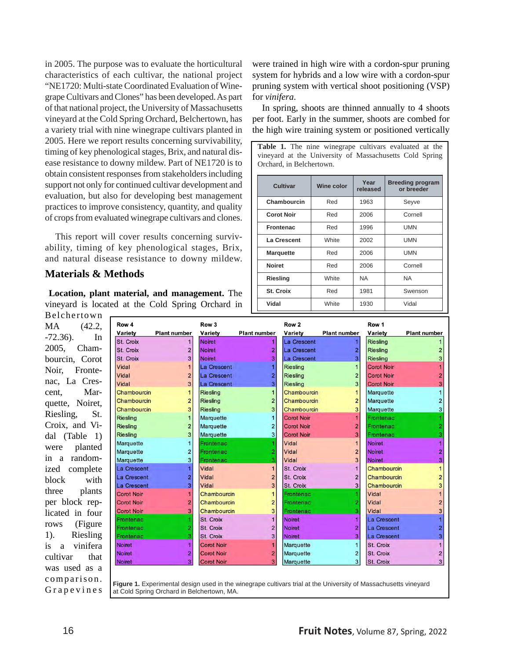in 2005. The purpose was to evaluate the horticultural characteristics of each cultivar, the national project "NE1720: Multi-state Coordinated Evaluation of Winegrape Cultivars and Clones" has been developed. As part of that national project, the University of Massachusetts vineyard at the Cold Spring Orchard, Belchertown, has a variety trial with nine winegrape cultivars planted in 2005. Here we report results concerning survivability, timing of key phenological stages, Brix, and natural disease resistance to downy mildew. Part of NE1720 is to obtain consistent responses from stakeholders including support not only for continued cultivar development and evaluation, but also for developing best management practices to improve consistency, quantity, and quality of crops from evaluated winegrape cultivars and clones.

 This report will cover results concerning survivability, timing of key phenological stages, Brix, and natural disease resistance to downy mildew.

#### **Materials & Methods**

 **Location, plant material, and management.** The vineyard is located at the Cold Spring Orchard in

Belchertown MA (42.2, -72.36). In 2005, Chambourcin, Corot Noir, Frontenac, La Crescent, Marquette, Noiret, Riesling, St. Croix, and Vidal (Table 1) were planted in a randomized complete block with three plants per block replicated in four rows (Figure 1). Riesling is a vinifera cultivar that was used as a comparison. Grapevines

| Row 4                | <b>Plant number</b>     | Row 3                    | <b>Plant number</b> | Row 2                  | <b>Plant number</b> | Row 1                      | <b>Plant numbe</b> |
|----------------------|-------------------------|--------------------------|---------------------|------------------------|---------------------|----------------------------|--------------------|
| Variety<br>St. Croix |                         | Variety<br><b>Noiret</b> |                     | Variety<br>La Crescent |                     | Variety<br><b>Riesling</b> |                    |
| St. Croix            | $\overline{2}$          | <b>Noiret</b>            | 2                   | La Crescent            | 2                   | Riesling                   |                    |
| St. Croix            | 3                       | <b>Noiret</b>            | 3                   | La Crescent            | 3                   | Riesling                   |                    |
| Vidal                |                         | La Crescent              |                     | <b>Riesling</b>        |                     | <b>Corot Noir</b>          |                    |
| Vidal                | $\overline{2}$          | La Crescent              | 2                   | <b>Riesling</b>        | 2                   | <b>Corot Noir</b>          |                    |
| Vidal                | 3                       | La Crescent              | 3                   | <b>Riesling</b>        | 3                   | <b>Corot Noir</b>          |                    |
| Chambourcin          | $\mathbf{1}$            | <b>Riesling</b>          | 1                   | Chambourcin            |                     | Marquette                  |                    |
| Chambourcin          | $\overline{2}$          | <b>Riesling</b>          | $\overline{2}$      | Chambourcin            | $\overline{2}$      | Marquette                  |                    |
| Chambourcin          | 3                       | <b>Riesling</b>          | 3                   | Chambourcin            | 3                   | Marquette                  |                    |
| <b>Riesling</b>      | $\mathbf{1}$            | Marquette                |                     | <b>Corot Noir</b>      |                     | Frontenac                  |                    |
| <b>Riesling</b>      | $\overline{a}$          | Marquette                | 2                   | <b>Corot Noir</b>      | 2                   | Frontenac                  |                    |
| <b>Riesling</b>      | 3                       | Marquette                | 3                   | <b>Corot Noir</b>      | 3                   | Frontenac                  |                    |
| Marquette            | 1                       | Frontenac                |                     | Vidal                  |                     | <b>Noiret</b>              |                    |
| Marquette            | $\overline{\mathbf{c}}$ | Frontenac                | 2                   | Vidal                  | $\overline{2}$      | <b>Noiret</b>              |                    |
| Marquette            | 3                       | Frontenac                | ä                   | Vidal                  | 3                   | <b>Noiret</b>              |                    |
| La Crescent          | 1                       | Vidal                    | 1                   | St. Croix              |                     | Chambourcin                |                    |
| La Crescent          | 2                       | Vidal                    | $\overline{2}$      | St. Croix              | $\overline{2}$      | Chambourcin                |                    |
| La Crescent          | 3                       | Vidal                    | 3                   | St. Croix              | $\overline{3}$      | Chambourcin                |                    |
| <b>Corot Noir</b>    | 1                       | Chambourcin              |                     | Frontenac              |                     | Vidal                      |                    |
| <b>Corot Noir</b>    | 2                       | Chambourcin              | $\overline{2}$      | Frontenac              | 2                   | Vidal                      |                    |
| <b>Corot Noir</b>    | 3                       | Chambourcin              | 3                   | Frontenac              | 3                   | Vidal                      |                    |
| Frontenac            |                         | St. Croix                |                     | <b>Noiret</b>          |                     | La Crescent                |                    |
| Frontenac            | 2                       | St. Croix                | $\overline{2}$      | <b>Noiret</b>          | 2                   | La Crescent                |                    |
| Frontenac            | 3                       | St. Croix                | 3                   | <b>Noiret</b>          | 3                   | La Crescent                |                    |
| <b>Noiret</b>        | 1                       | <b>Corot Noir</b>        |                     | Marquette              |                     | St. Croix                  |                    |
| <b>Noiret</b>        | 2                       | <b>Corot Noir</b>        | $\overline{2}$      | Marquette              | $\overline{2}$      | St. Croix                  |                    |
| <b>Noiret</b>        | 3 <sup>1</sup>          | <b>Corot Noir</b>        | 3                   | Marquette              | 3                   | St. Croix                  |                    |

were trained in high wire with a cordon-spur pruning system for hybrids and a low wire with a cordon-spur pruning system with vertical shoot positioning (VSP) for *vinifera*.

 In spring, shoots are thinned annually to 4 shoots per foot. Early in the summer, shoots are combed for the high wire training system or positioned vertically

**Table 1.** The nine winegrape cultivars evaluated at the vineyard at the University of Massachusetts Cold Spring Orchard, in Belchertown.

| <b>Cultivar</b>   | <b>Wine color</b> | Year<br>released | <b>Breeding program</b><br>or breeder |  |
|-------------------|-------------------|------------------|---------------------------------------|--|
| Chambourcin       | Red               | 1963             | Seyve                                 |  |
| <b>Corot Noir</b> | Red               | 2006             | Cornell                               |  |
| <b>Frontenac</b>  | Red               | 1996             | <b>UMN</b>                            |  |
| La Crescent       | White             | 2002             | <b>UMN</b>                            |  |
| <b>Marquette</b>  | Red               | 2006             | <b>UMN</b>                            |  |
| <b>Noiret</b>     | Red               | 2006             | Cornell                               |  |
| <b>Riesling</b>   | White             | NA               | NA.                                   |  |
| St. Croix         | Red               | 1981             | Swenson                               |  |
| Vidal             | White             | 1930             | Vidal                                 |  |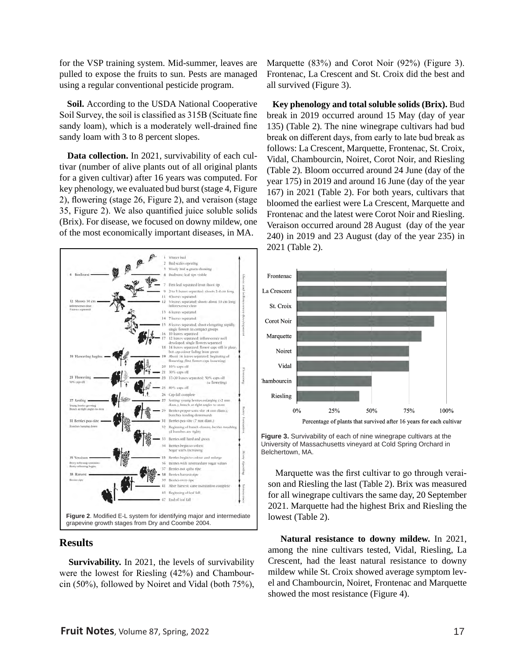for the VSP training system. Mid-summer, leaves are pulled to expose the fruits to sun. Pests are managed using a regular conventional pesticide program.

 **Soil.** According to the USDA National Cooperative Soil Survey, the soil is classified as 315B (Scituate fine sandy loam), which is a moderately well-drained fine sandy loam with 3 to 8 percent slopes.

 **Data collection.** In 2021, survivability of each cultivar (number of alive plants out of all original plants for a given cultivar) after 16 years was computed. For key phenology, we evaluated bud burst (stage 4, Figure 2), flowering (stage 26, Figure 2), and veraison (stage 35, Figure 2). We also quantified juice soluble solids (Brix). For disease, we focused on downy mildew, one of the most economically important diseases, in MA.



#### **Results**

 **Survivability.** In 2021, the levels of survivability were the lowest for Riesling (42%) and Chambourcin (50%), followed by Noiret and Vidal (both 75%),

Marquette (83%) and Corot Noir (92%) (Figure 3). Frontenac, La Crescent and St. Croix did the best and all survived (Figure 3).

 **Key phenology and total soluble solids (Brix).** Bud break in 2019 occurred around 15 May (day of year 135) (Table 2). The nine winegrape cultivars had bud break on different days, from early to late bud break as follows: La Crescent, Marquette, Frontenac, St. Croix, Vidal, Chambourcin, Noiret, Corot Noir, and Riesling (Table 2). Bloom occurred around 24 June (day of the year 175) in 2019 and around 16 June (day of the year 167) in 2021 (Table 2). For both years, cultivars that bloomed the earliest were La Crescent, Marquette and Frontenac and the latest were Corot Noir and Riesling. Veraison occurred around 28 August (day of the year 240) in 2019 and 23 August (day of the year 235) in 2021 (Table 2).



**Figure 3.** Survivability of each of nine winegrape cultivars at the University of Massachusetts vineyard at Cold Spring Orchard in Belchertown, MA.

 Marquette was the first cultivar to go through veraison and Riesling the last (Table 2). Brix was measured for all winegrape cultivars the same day, 20 September 2021. Marquette had the highest Brix and Riesling the lowest (Table 2).

 **Natural resistance to downy mildew.** In 2021, among the nine cultivars tested, Vidal, Riesling, La Crescent, had the least natural resistance to downy mildew while St. Croix showed average symptom level and Chambourcin, Noiret, Frontenac and Marquette showed the most resistance (Figure 4).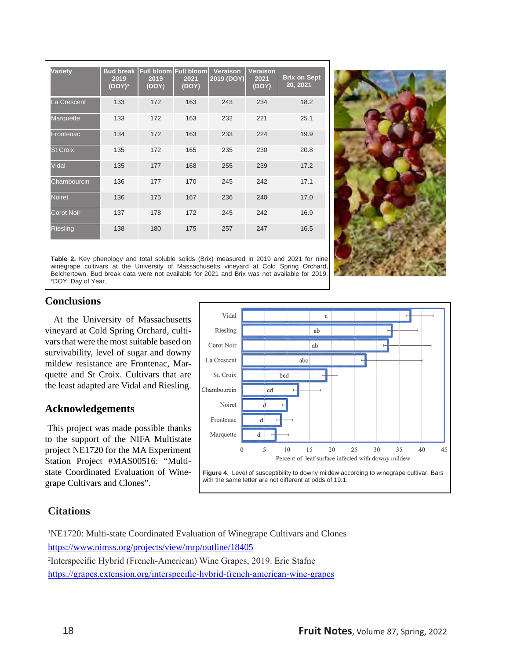| <b>Variety</b>    | 2019<br>(DOY)* | Bud break Full bloom Full bloom<br>2019<br>(DOY) | 2021<br>(DOY) | <b>Veraison</b><br>2019 (DOY) | <b>Veraison</b><br>2021<br>(DOY) | <b>Brix on Sept</b><br>20, 2021 |
|-------------------|----------------|--------------------------------------------------|---------------|-------------------------------|----------------------------------|---------------------------------|
| La Crescent       | 133            | 172                                              | 163           | 243                           | 234                              | 18.2                            |
| Marquette         | 133            | 172                                              | 163           | 232                           | 221                              | 25.1                            |
| Frontenac         | 134            | 172                                              | 163           | 233                           | 224                              | 19.9                            |
| <b>St Croix</b>   | 135            | 172                                              | 165           | 235                           | 230                              | 20.8                            |
| Vidal             | 135            | 177                                              | 168           | 255                           | 239                              | 17.2                            |
| Chambourcin       | 136            | 177                                              | 170           | 245                           | 242                              | 17.1                            |
| <b>Noiret</b>     | 136            | 175                                              | 167           | 236                           | 240                              | 17.0                            |
| <b>Corot Noir</b> | 137            | 178                                              | 172           | 245                           | 242                              | 16.9                            |
| <b>Riesling</b>   | 138            | 180                                              | 175           | 257                           | 247                              | 16.5                            |



**Table 2.** Key phenology and total soluble solids (Brix) measured in 2019 and 2021 for nine winegrape cultivars at the University of Massachusetts vineyard at Cold Spring Orchard, Belchertown. Bud break data were not available for 2021 and Brix was not available for 2019. \*DOY: Day of Year.

## **Conclusions**

 At the University of Massachusetts vineyard at Cold Spring Orchard, cultivars that were the most suitable based on survivability, level of sugar and downy mildew resistance are Frontenac, Marquette and St Croix. Cultivars that are the least adapted are Vidal and Riesling.

### **Acknowledgements**

 This project was made possible thanks to the support of the NIFA Multistate project NE1720 for the MA Experiment Station Project #MAS00516: "Multistate Coordinated Evaluation of Winegrape Cultivars and Clones".



## **Citations**

1 NE1720: Multi-state Coordinated Evaluation of Winegrape Cultivars and Clones <https://www.nimss.org/projects/view/mrp/outline/18405> 2 Interspecific Hybrid (French-American) Wine Grapes, 2019. Eric Stafne <https://grapes.extension.org/interspecific-hybrid-french-american-wine-grapes>